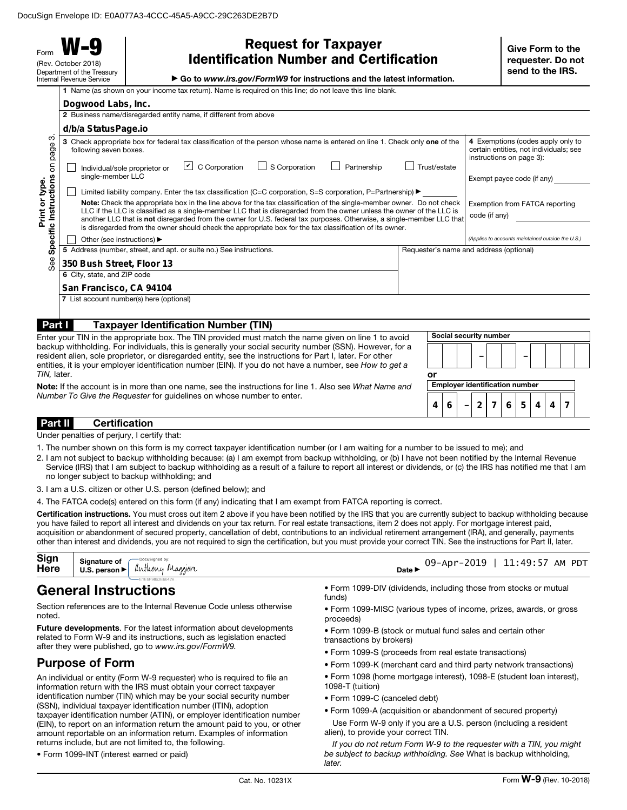Form **W-9** (Rev. October 2018) Department of the Treasury Internal Revenue Service

 $\overline{\phantom{a}}$  1 Name (as sho

| <b>Request for Taxpayer</b>                    |  |  |
|------------------------------------------------|--|--|
| <b>Identification Number and Certification</b> |  |  |

▶ Go to *www.irs.gov/FormW9* for instructions and the latest information.

|  | wn on your income tax return). Name is required on this line: do not leave this line blank |  |
|--|--------------------------------------------------------------------------------------------|--|

|                                | Dogwood Labs, Inc.                                                                                                                                                                                                                                                                                                                                                                                                                                                                 |                                                                                                         |                                                   |  |  |
|--------------------------------|------------------------------------------------------------------------------------------------------------------------------------------------------------------------------------------------------------------------------------------------------------------------------------------------------------------------------------------------------------------------------------------------------------------------------------------------------------------------------------|---------------------------------------------------------------------------------------------------------|---------------------------------------------------|--|--|
|                                | 2 Business name/disregarded entity name, if different from above                                                                                                                                                                                                                                                                                                                                                                                                                   |                                                                                                         |                                                   |  |  |
| ო<br>page<br>δ                 | d/b/a StatusPage.io                                                                                                                                                                                                                                                                                                                                                                                                                                                                |                                                                                                         |                                                   |  |  |
|                                | 3 Check appropriate box for federal tax classification of the person whose name is entered on line 1. Check only one of the<br>following seven boxes.<br>$\cup$ C Corporation<br>S Corporation<br>Partnership                                                                                                                                                                                                                                                                      | 4 Exemptions (codes apply only to<br>certain entities, not individuals; see<br>instructions on page 3): |                                                   |  |  |
|                                | Individual/sole proprietor or<br>single-member LLC                                                                                                                                                                                                                                                                                                                                                                                                                                 | Trust/estate                                                                                            | Exempt payee code (if any)                        |  |  |
|                                | Limited liability company. Enter the tax classification (C=C corporation, S=S corporation, P=Partnership) $\blacktriangleright$                                                                                                                                                                                                                                                                                                                                                    |                                                                                                         |                                                   |  |  |
| Instructions<br>Print or type. | Note: Check the appropriate box in the line above for the tax classification of the single-member owner. Do not check<br>LLC if the LLC is classified as a single-member LLC that is disregarded from the owner unless the owner of the LLC is<br>another LLC that is not disregarded from the owner for U.S. federal tax purposes. Otherwise, a single-member LLC that<br>is disregarded from the owner should check the appropriate box for the tax classification of its owner. |                                                                                                         | Exemption from FATCA reporting<br>code (if any)   |  |  |
| Specific                       | Other (see instructions) ▶                                                                                                                                                                                                                                                                                                                                                                                                                                                         |                                                                                                         | (Applies to accounts maintained outside the U.S.) |  |  |
|                                | 5 Address (number, street, and apt. or suite no.) See instructions.                                                                                                                                                                                                                                                                                                                                                                                                                | Requester's name and address (optional)                                                                 |                                                   |  |  |
| See                            | 350 Bush Street, Floor 13                                                                                                                                                                                                                                                                                                                                                                                                                                                          |                                                                                                         |                                                   |  |  |
|                                | 6 City, state, and ZIP code                                                                                                                                                                                                                                                                                                                                                                                                                                                        |                                                                                                         |                                                   |  |  |
|                                | San Francisco, CA 94104                                                                                                                                                                                                                                                                                                                                                                                                                                                            |                                                                                                         |                                                   |  |  |
|                                | 7 List account number(s) here (optional)                                                                                                                                                                                                                                                                                                                                                                                                                                           |                                                                                                         |                                                   |  |  |
| Part I                         | <b>Taxpayer Identification Number (TIN)</b>                                                                                                                                                                                                                                                                                                                                                                                                                                        |                                                                                                         |                                                   |  |  |
| TIN. later.                    | Enter your TIN in the appropriate box. The TIN provided must match the name given on line 1 to avoid<br>backup withholding. For individuals, this is generally your social security number (SSN). However, for a<br>resident alien, sole proprietor, or disregarded entity, see the instructions for Part I, later. For other<br>entities, it is your employer identification number (EIN). If you do not have a number, see How to get a                                          |                                                                                                         | Social security number                            |  |  |
|                                |                                                                                                                                                                                                                                                                                                                                                                                                                                                                                    | or                                                                                                      |                                                   |  |  |

Note: If the account is in more than one name, see the instructions for line 1. Also see *What Name and Number To Give the Requester* for guidelines on whose number to enter.

## Part II Certification

Under penalties of perjury, I certify that:

- 1. The number shown on this form is my correct taxpayer identification number (or I am waiting for a number to be issued to me); and
- 2. I am not subject to backup withholding because: (a) I am exempt from backup withholding, or (b) I have not been notified by the Internal Revenue Service (IRS) that I am subject to backup withholding as a result of a failure to report all interest or dividends, or (c) the IRS has notified me that I am no longer subject to backup withholding; and
- 3. I am a U.S. citizen or other U.S. person (defined below); and

4. The FATCA code(s) entered on this form (if any) indicating that I am exempt from FATCA reporting is correct.

Certification instructions. You must cross out item 2 above if you have been notified by the IRS that you are currently subject to backup withholding because you have failed to report all interest and dividends on your tax return. For real estate transactions, item 2 does not apply. For mortgage interest paid, acquisition or abandonment of secured property, cancellation of debt, contributions to an individual retirement arrangement (IRA), and generally, payments other than interest and dividends, you are not required to sign the certification, but you must provide your correct TIN. See the instructions for Part II, later.

| Sign<br>Here | <b>Signature of</b><br>U.S. person $\blacktriangleright$ | -DocuSigned by:<br>Anthony Massion | $09 - Apr - 2019$<br><b>Date</b> ▶ | 11:49:57 | AM PDT |
|--------------|----------------------------------------------------------|------------------------------------|------------------------------------|----------|--------|
|--------------|----------------------------------------------------------|------------------------------------|------------------------------------|----------|--------|

# General Instructions

Section references are to the Internal Revenue Code unless otherwise noted.

Future developments. For the latest information about developments related to Form W-9 and its instructions, such as legislation enacted after they were published, go to *www.irs.gov/FormW9.*

# Purpose of Form

An individual or entity (Form W-9 requester) who is required to file an information return with the IRS must obtain your correct taxpayer identification number (TIN) which may be your social security number (SSN), individual taxpayer identification number (ITIN), adoption taxpayer identification number (ATIN), or employer identification number (EIN), to report on an information return the amount paid to you, or other amount reportable on an information return. Examples of information returns include, but are not limited to, the following.

• Form 1099-INT (interest earned or paid)

• Form 1099-DIV (dividends, including those from stocks or mutual funds)

• Form 1099-MISC (various types of income, prizes, awards, or gross proceeds)

Employer identification number

**4 6 2 7 6 5 4 4 7**

–

- Form 1099-B (stock or mutual fund sales and certain other transactions by brokers)
- Form 1099-S (proceeds from real estate transactions)
- Form 1099-K (merchant card and third party network transactions)
- Form 1098 (home mortgage interest), 1098-E (student loan interest),
- 1098-T (tuition)
- Form 1099-C (canceled debt)
- Form 1099-A (acquisition or abandonment of secured property)
- Use Form W-9 only if you are a U.S. person (including a resident alien), to provide your correct TIN.

*If you do not return Form W-9 to the requester with a TIN, you might be subject to backup withholding. See* What is backup withholding, *later.*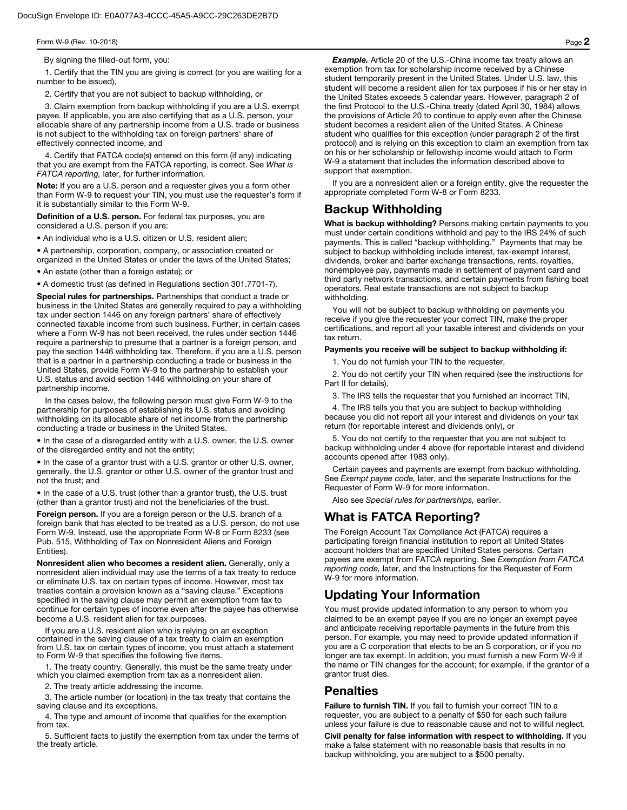By signing the filled-out form, you:

1. Certify that the TIN you are giving is correct (or you are waiting for a number to be issued),

2. Certify that you are not subject to backup withholding, or

3. Claim exemption from backup withholding if you are a U.S. exempt payee. If applicable, you are also certifying that as a U.S. person, your allocable share of any partnership income from a U.S. trade or business is not subject to the withholding tax on foreign partners' share of effectively connected income, and

4. Certify that FATCA code(s) entered on this form (if any) indicating that you are exempt from the FATCA reporting, is correct. See *What is FATCA reporting,* later, for further information.

Note: If you are a U.S. person and a requester gives you a form other than Form W-9 to request your TIN, you must use the requester's form if it is substantially similar to this Form W-9.

Definition of a U.S. person. For federal tax purposes, you are considered a U.S. person if you are:

• An individual who is a U.S. citizen or U.S. resident alien;

• A partnership, corporation, company, or association created or organized in the United States or under the laws of the United States;

• An estate (other than a foreign estate); or

• A domestic trust (as defined in Regulations section 301.7701-7).

Special rules for partnerships. Partnerships that conduct a trade or business in the United States are generally required to pay a withholding tax under section 1446 on any foreign partners' share of effectively connected taxable income from such business. Further, in certain cases where a Form W-9 has not been received, the rules under section 1446 require a partnership to presume that a partner is a foreign person, and pay the section 1446 withholding tax. Therefore, if you are a U.S. person that is a partner in a partnership conducting a trade or business in the United States, provide Form W-9 to the partnership to establish your U.S. status and avoid section 1446 withholding on your share of partnership income.

In the cases below, the following person must give Form W-9 to the partnership for purposes of establishing its U.S. status and avoiding withholding on its allocable share of net income from the partnership conducting a trade or business in the United States.

• In the case of a disregarded entity with a U.S. owner, the U.S. owner of the disregarded entity and not the entity;

• In the case of a grantor trust with a U.S. grantor or other U.S. owner, generally, the U.S. grantor or other U.S. owner of the grantor trust and not the trust; and

• In the case of a U.S. trust (other than a grantor trust), the U.S. trust (other than a grantor trust) and not the beneficiaries of the trust.

Foreign person. If you are a foreign person or the U.S. branch of a foreign bank that has elected to be treated as a U.S. person, do not use Form W-9. Instead, use the appropriate Form W-8 or Form 8233 (see Pub. 515, Withholding of Tax on Nonresident Aliens and Foreign Entities).

Nonresident alien who becomes a resident alien. Generally, only a nonresident alien individual may use the terms of a tax treaty to reduce or eliminate U.S. tax on certain types of income. However, most tax treaties contain a provision known as a "saving clause." Exceptions specified in the saving clause may permit an exemption from tax to continue for certain types of income even after the payee has otherwise become a U.S. resident alien for tax purposes.

If you are a U.S. resident alien who is relying on an exception contained in the saving clause of a tax treaty to claim an exemption from U.S. tax on certain types of income, you must attach a statement to Form W-9 that specifies the following five items.

1. The treaty country. Generally, this must be the same treaty under which you claimed exemption from tax as a nonresident alien.

2. The treaty article addressing the income.

3. The article number (or location) in the tax treaty that contains the saving clause and its exceptions.

4. The type and amount of income that qualifies for the exemption from tax.

5. Sufficient facts to justify the exemption from tax under the terms of the treaty article.

**Example.** Article 20 of the U.S.-China income tax treaty allows an exemption from tax for scholarship income received by a Chinese student temporarily present in the United States. Under U.S. law, this student will become a resident alien for tax purposes if his or her stay in the United States exceeds 5 calendar years. However, paragraph 2 of the first Protocol to the U.S.-China treaty (dated April 30, 1984) allows the provisions of Article 20 to continue to apply even after the Chinese student becomes a resident alien of the United States. A Chinese student who qualifies for this exception (under paragraph 2 of the first protocol) and is relying on this exception to claim an exemption from tax on his or her scholarship or fellowship income would attach to Form W-9 a statement that includes the information described above to support that exemption.

If you are a nonresident alien or a foreign entity, give the requester the appropriate completed Form W-8 or Form 8233.

# Backup Withholding

What is backup withholding? Persons making certain payments to you must under certain conditions withhold and pay to the IRS 24% of such payments. This is called "backup withholding." Payments that may be subject to backup withholding include interest, tax-exempt interest, dividends, broker and barter exchange transactions, rents, royalties, nonemployee pay, payments made in settlement of payment card and third party network transactions, and certain payments from fishing boat operators. Real estate transactions are not subject to backup withholding.

You will not be subject to backup withholding on payments you receive if you give the requester your correct TIN, make the proper certifications, and report all your taxable interest and dividends on your tax return.

#### Payments you receive will be subject to backup withholding if:

1. You do not furnish your TIN to the requester,

2. You do not certify your TIN when required (see the instructions for Part II for details),

3. The IRS tells the requester that you furnished an incorrect TIN,

4. The IRS tells you that you are subject to backup withholding because you did not report all your interest and dividends on your tax return (for reportable interest and dividends only), or

5. You do not certify to the requester that you are not subject to backup withholding under 4 above (for reportable interest and dividend accounts opened after 1983 only).

Certain payees and payments are exempt from backup withholding. See *Exempt payee code,* later, and the separate Instructions for the Requester of Form W-9 for more information.

Also see *Special rules for partnerships,* earlier.

# What is FATCA Reporting?

The Foreign Account Tax Compliance Act (FATCA) requires a participating foreign financial institution to report all United States account holders that are specified United States persons. Certain payees are exempt from FATCA reporting. See *Exemption from FATCA reporting code,* later, and the Instructions for the Requester of Form W-9 for more information.

# Updating Your Information

You must provide updated information to any person to whom you claimed to be an exempt payee if you are no longer an exempt payee and anticipate receiving reportable payments in the future from this person. For example, you may need to provide updated information if you are a C corporation that elects to be an S corporation, or if you no longer are tax exempt. In addition, you must furnish a new Form W-9 if the name or TIN changes for the account; for example, if the grantor of a grantor trust dies.

# **Penalties**

Failure to furnish TIN. If you fail to furnish your correct TIN to a requester, you are subject to a penalty of \$50 for each such failure unless your failure is due to reasonable cause and not to willful neglect.

Civil penalty for false information with respect to withholding. If you make a false statement with no reasonable basis that results in no backup withholding, you are subject to a \$500 penalty.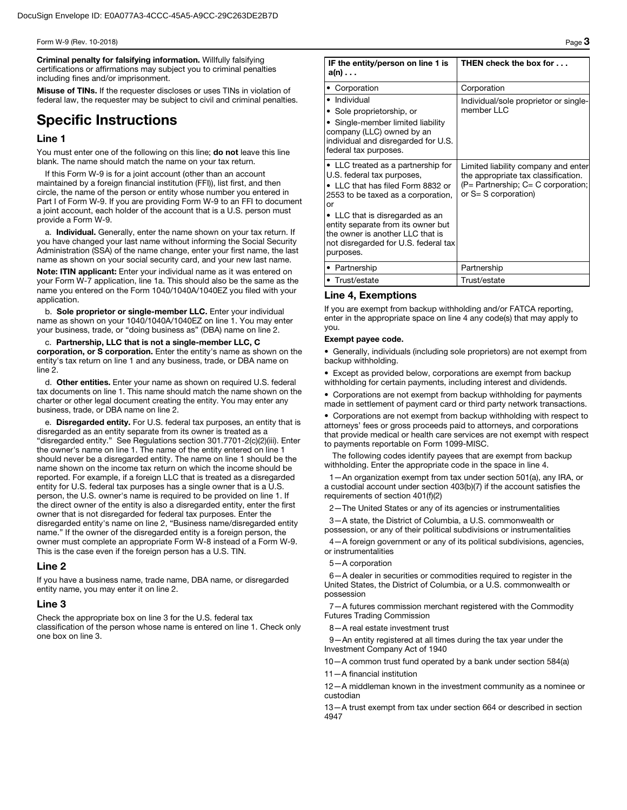Criminal penalty for falsifying information. Willfully falsifying certifications or affirmations may subject you to criminal penalties including fines and/or imprisonment.

Misuse of TINs. If the requester discloses or uses TINs in violation of federal law, the requester may be subject to civil and criminal penalties.

# Specific Instructions

## Line 1

You must enter one of the following on this line; do not leave this line blank. The name should match the name on your tax return.

If this Form W-9 is for a joint account (other than an account maintained by a foreign financial institution (FFI)), list first, and then circle, the name of the person or entity whose number you entered in Part I of Form W-9. If you are providing Form W-9 to an FFI to document a joint account, each holder of the account that is a U.S. person must provide a Form W-9.

a. Individual. Generally, enter the name shown on your tax return. If you have changed your last name without informing the Social Security Administration (SSA) of the name change, enter your first name, the last name as shown on your social security card, and your new last name.

Note: ITIN applicant: Enter your individual name as it was entered on your Form W-7 application, line 1a. This should also be the same as the name you entered on the Form 1040/1040A/1040EZ you filed with your application.

b. Sole proprietor or single-member LLC. Enter your individual name as shown on your 1040/1040A/1040EZ on line 1. You may enter your business, trade, or "doing business as" (DBA) name on line 2.

c. Partnership, LLC that is not a single-member LLC, C corporation, or S corporation. Enter the entity's name as shown on the entity's tax return on line 1 and any business, trade, or DBA name on line 2.

d. Other entities. Enter your name as shown on required U.S. federal tax documents on line 1. This name should match the name shown on the charter or other legal document creating the entity. You may enter any business, trade, or DBA name on line 2.

e. Disregarded entity. For U.S. federal tax purposes, an entity that is disregarded as an entity separate from its owner is treated as a "disregarded entity." See Regulations section 301.7701-2(c)(2)(iii). Enter the owner's name on line 1. The name of the entity entered on line 1 should never be a disregarded entity. The name on line 1 should be the name shown on the income tax return on which the income should be reported. For example, if a foreign LLC that is treated as a disregarded entity for U.S. federal tax purposes has a single owner that is a U.S. person, the U.S. owner's name is required to be provided on line 1. If the direct owner of the entity is also a disregarded entity, enter the first owner that is not disregarded for federal tax purposes. Enter the disregarded entity's name on line 2, "Business name/disregarded entity name." If the owner of the disregarded entity is a foreign person, the owner must complete an appropriate Form W-8 instead of a Form W-9. This is the case even if the foreign person has a U.S. TIN.

## Line 2

If you have a business name, trade name, DBA name, or disregarded entity name, you may enter it on line 2.

## Line 3

Check the appropriate box on line 3 for the U.S. federal tax classification of the person whose name is entered on line 1. Check only one box on line 3.

| IF the entity/person on line 1 is<br>$a(n) \ldots$                                                                                                                                                                                                                                                                | THEN check the box for                                                                                                                            |
|-------------------------------------------------------------------------------------------------------------------------------------------------------------------------------------------------------------------------------------------------------------------------------------------------------------------|---------------------------------------------------------------------------------------------------------------------------------------------------|
| • Corporation                                                                                                                                                                                                                                                                                                     | Corporation                                                                                                                                       |
| • Individual<br>• Sole proprietorship, or<br>• Single-member limited liability<br>company (LLC) owned by an<br>individual and disregarded for U.S.<br>federal tax purposes.                                                                                                                                       | Individual/sole proprietor or single-<br>member LLC                                                                                               |
| • LLC treated as a partnership for<br>U.S. federal tax purposes,<br>LLC that has filed Form 8832 or<br>2553 to be taxed as a corporation,<br>or<br>• LLC that is disregarded as an<br>entity separate from its owner but<br>the owner is another LLC that is<br>not disregarded for U.S. federal tax<br>purposes. | Limited liability company and enter<br>the appropriate tax classification.<br>$(P =$ Partnership; $C = C$ corporation;<br>or $S = S$ corporation) |
| • Partnership                                                                                                                                                                                                                                                                                                     | Partnership                                                                                                                                       |
| • Trust/estate                                                                                                                                                                                                                                                                                                    | Trust/estate                                                                                                                                      |

## Line 4, Exemptions

If you are exempt from backup withholding and/or FATCA reporting, enter in the appropriate space on line 4 any code(s) that may apply to you.

#### Exempt payee code.

• Generally, individuals (including sole proprietors) are not exempt from backup withholding.

• Except as provided below, corporations are exempt from backup withholding for certain payments, including interest and dividends.

• Corporations are not exempt from backup withholding for payments made in settlement of payment card or third party network transactions.

• Corporations are not exempt from backup withholding with respect to attorneys' fees or gross proceeds paid to attorneys, and corporations that provide medical or health care services are not exempt with respect to payments reportable on Form 1099-MISC.

The following codes identify payees that are exempt from backup withholding. Enter the appropriate code in the space in line 4.

1—An organization exempt from tax under section 501(a), any IRA, or a custodial account under section 403(b)(7) if the account satisfies the requirements of section 401(f)(2)

2—The United States or any of its agencies or instrumentalities

3—A state, the District of Columbia, a U.S. commonwealth or possession, or any of their political subdivisions or instrumentalities

4—A foreign government or any of its political subdivisions, agencies, or instrumentalities

#### 5—A corporation

6—A dealer in securities or commodities required to register in the United States, the District of Columbia, or a U.S. commonwealth or possession

7—A futures commission merchant registered with the Commodity Futures Trading Commission

8—A real estate investment trust

9—An entity registered at all times during the tax year under the Investment Company Act of 1940

10—A common trust fund operated by a bank under section 584(a)

11—A financial institution

12—A middleman known in the investment community as a nominee or custodian

13—A trust exempt from tax under section 664 or described in section 4947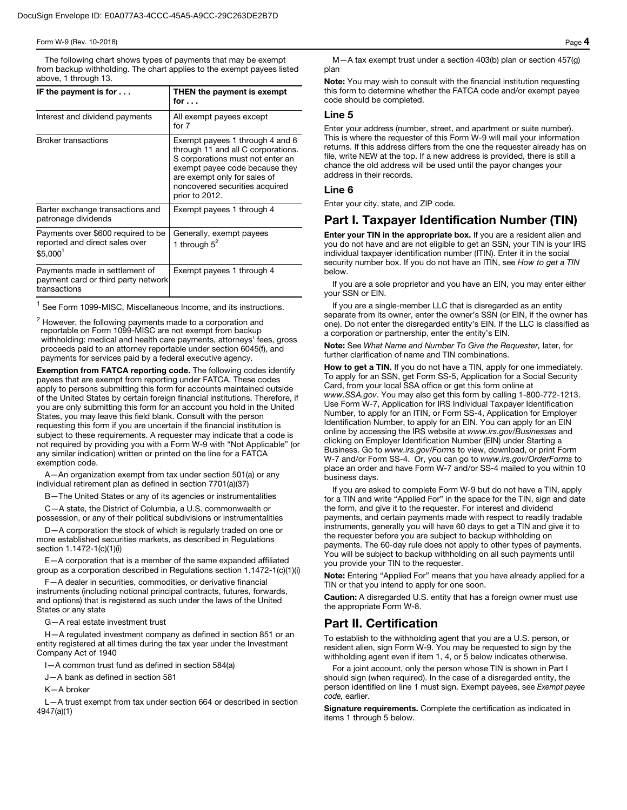## Form W-9 (Rev. 10-2018) Page  $\boldsymbol{4}$

The following chart shows types of payments that may be exempt from backup withholding. The chart applies to the exempt payees listed above, 1 through 13.

| IF the payment is for $\dots$                                                                | THEN the payment is exempt<br>for $\ldots$                                                                                                                                                                                      |
|----------------------------------------------------------------------------------------------|---------------------------------------------------------------------------------------------------------------------------------------------------------------------------------------------------------------------------------|
| Interest and dividend payments                                                               | All exempt payees except<br>for 7                                                                                                                                                                                               |
| <b>Broker transactions</b>                                                                   | Exempt payees 1 through 4 and 6<br>through 11 and all C corporations.<br>S corporations must not enter an<br>exempt payee code because they<br>are exempt only for sales of<br>noncovered securities acquired<br>prior to 2012. |
| Barter exchange transactions and<br>patronage dividends                                      | Exempt payees 1 through 4                                                                                                                                                                                                       |
| Payments over \$600 required to be<br>reported and direct sales over<br>\$5.000 <sup>1</sup> | Generally, exempt payees<br>1 through $5^2$                                                                                                                                                                                     |
| Payments made in settlement of<br>payment card or third party network<br>transactions        | Exempt payees 1 through 4                                                                                                                                                                                                       |

 $<sup>1</sup>$  See Form 1099-MISC, Miscellaneous Income, and its instructions.</sup>

 $^2$  However, the following payments made to a corporation and<br>reportable on Form 1099-MISC are not exempt from backup withholding: medical and health care payments, attorneys' fees, gross proceeds paid to an attorney reportable under section 6045(f), and payments for services paid by a federal executive agency.

Exemption from FATCA reporting code. The following codes identify payees that are exempt from reporting under FATCA. These codes apply to persons submitting this form for accounts maintained outside of the United States by certain foreign financial institutions. Therefore, if you are only submitting this form for an account you hold in the United States, you may leave this field blank. Consult with the person requesting this form if you are uncertain if the financial institution is subject to these requirements. A requester may indicate that a code is not required by providing you with a Form W-9 with "Not Applicable" (or any similar indication) written or printed on the line for a FATCA exemption code.

A—An organization exempt from tax under section 501(a) or any individual retirement plan as defined in section 7701(a)(37)

- The United States or any of its agencies or instrumentalities

C—A state, the District of Columbia, a U.S. commonwealth or possession, or any of their political subdivisions or instrumentalities

D—A corporation the stock of which is regularly traded on one or more established securities markets, as described in Regulations section 1.1472-1(c)(1)(i)

E—A corporation that is a member of the same expanded affiliated group as a corporation described in Regulations section 1.1472-1(c)(1)(i)

F—A dealer in securities, commodities, or derivative financial instruments (including notional principal contracts, futures, forwards, and options) that is registered as such under the laws of the United States or any state

G—A real estate investment trust

H—A regulated investment company as defined in section 851 or an entity registered at all times during the tax year under the Investment Company Act of 1940

I—A common trust fund as defined in section 584(a)

J—A bank as defined in section 581

K—A broker

L—A trust exempt from tax under section 664 or described in section 4947(a)(1)

M—A tax exempt trust under a section 403(b) plan or section 457(g) plan

Note: You may wish to consult with the financial institution requesting this form to determine whether the FATCA code and/or exempt payee code should be completed.

### Line 5

Enter your address (number, street, and apartment or suite number). This is where the requester of this Form W-9 will mail your information returns. If this address differs from the one the requester already has on file, write NEW at the top. If a new address is provided, there is still a chance the old address will be used until the payor changes your address in their records.

## Line 6

Enter your city, state, and ZIP code.

# Part I. Taxpayer Identification Number (TIN)

Enter your TIN in the appropriate box. If you are a resident alien and you do not have and are not eligible to get an SSN, your TIN is your IRS individual taxpayer identification number (ITIN). Enter it in the social security number box. If you do not have an ITIN, see *How to get a TIN*  below.

If you are a sole proprietor and you have an EIN, you may enter either your SSN or EIN.

If you are a single-member LLC that is disregarded as an entity separate from its owner, enter the owner's SSN (or EIN, if the owner has one). Do not enter the disregarded entity's EIN. If the LLC is classified as a corporation or partnership, enter the entity's EIN.

Note: See *What Name and Number To Give the Requester,* later, for further clarification of name and TIN combinations.

How to get a TIN. If you do not have a TIN, apply for one immediately. To apply for an SSN, get Form SS-5, Application for a Social Security Card, from your local SSA office or get this form online at *www.SSA.gov*. You may also get this form by calling 1-800-772-1213. Use Form W-7, Application for IRS Individual Taxpayer Identification Number, to apply for an ITIN, or Form SS-4, Application for Employer Identification Number, to apply for an EIN. You can apply for an EIN online by accessing the IRS website at *www.irs.gov/Businesses* and clicking on Employer Identification Number (EIN) under Starting a Business. Go to *www.irs.gov/Forms* to view, download, or print Form W-7 and/or Form SS-4. Or, you can go to *www.irs.gov/OrderForms* to place an order and have Form W-7 and/or SS-4 mailed to you within 10 business days.

If you are asked to complete Form W-9 but do not have a TIN, apply for a TIN and write "Applied For" in the space for the TIN, sign and date the form, and give it to the requester. For interest and dividend payments, and certain payments made with respect to readily tradable instruments, generally you will have 60 days to get a TIN and give it to the requester before you are subject to backup withholding on payments. The 60-day rule does not apply to other types of payments. You will be subject to backup withholding on all such payments until you provide your TIN to the requester.

Note: Entering "Applied For" means that you have already applied for a TIN or that you intend to apply for one soon.

Caution: A disregarded U.S. entity that has a foreign owner must use the appropriate Form W-8.

# Part II. Certification

To establish to the withholding agent that you are a U.S. person, or resident alien, sign Form W-9. You may be requested to sign by the withholding agent even if item 1, 4, or 5 below indicates otherwise.

For a joint account, only the person whose TIN is shown in Part I should sign (when required). In the case of a disregarded entity, the person identified on line 1 must sign. Exempt payees, see *Exempt payee code,* earlier.

Signature requirements. Complete the certification as indicated in items 1 through 5 below.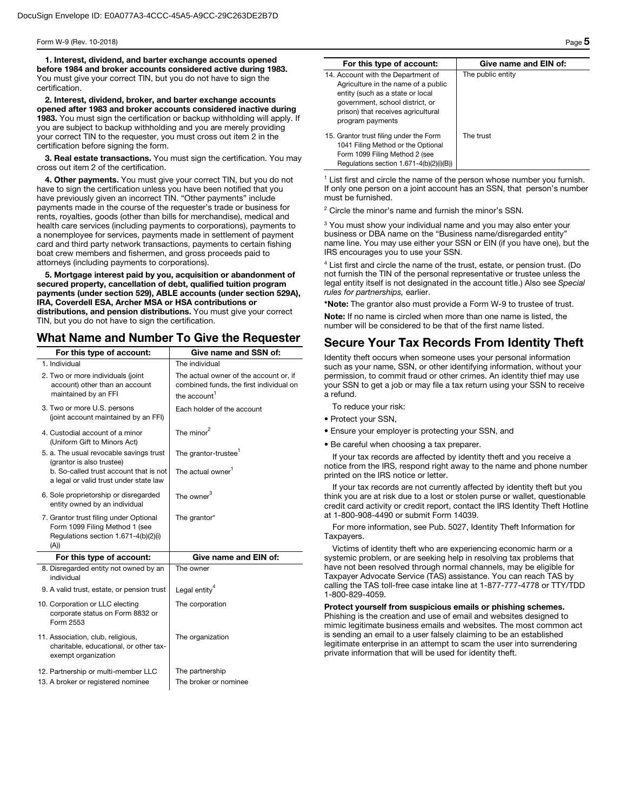1. Interest, dividend, and barter exchange accounts opened before 1984 and broker accounts considered active during 1983. You must give your correct TIN, but you do not have to sign the certification.

2. Interest, dividend, broker, and barter exchange accounts opened after 1983 and broker accounts considered inactive during 1983. You must sign the certification or backup withholding will apply. If you are subject to backup withholding and you are merely providing your correct TIN to the requester, you must cross out item 2 in the certification before signing the form.

3. Real estate transactions. You must sign the certification. You may cross out item 2 of the certification.

4. Other payments. You must give your correct TIN, but you do not have to sign the certification unless you have been notified that you have previously given an incorrect TIN. "Other payments" include payments made in the course of the requester's trade or business for rents, royalties, goods (other than bills for merchandise), medical and health care services (including payments to corporations), payments to a nonemployee for services, payments made in settlement of payment card and third party network transactions, payments to certain fishing boat crew members and fishermen, and gross proceeds paid to attorneys (including payments to corporations).

5. Mortgage interest paid by you, acquisition or abandonment of secured property, cancellation of debt, qualified tuition program payments (under section 529), ABLE accounts (under section 529A), IRA, Coverdell ESA, Archer MSA or HSA contributions or distributions, and pension distributions. You must give your correct TIN, but you do not have to sign the certification.

# What Name and Number To Give the Requester

| For this type of account:                                                                                                | Give name and SSN of:                                                                                         |
|--------------------------------------------------------------------------------------------------------------------------|---------------------------------------------------------------------------------------------------------------|
| 1. Individual                                                                                                            | The individual                                                                                                |
| 2. Two or more individuals (joint<br>account) other than an account<br>maintained by an FFI                              | The actual owner of the account or, if<br>combined funds, the first individual on<br>the account <sup>1</sup> |
| 3. Two or more U.S. persons<br>(joint account maintained by an FFI)                                                      | Each holder of the account                                                                                    |
| 4. Custodial account of a minor<br>(Uniform Gift to Minors Act)                                                          | The minor <sup>2</sup>                                                                                        |
| 5. a. The usual revocable savings trust<br>(grantor is also trustee)                                                     | The grantor-trustee <sup>1</sup>                                                                              |
| b. So-called trust account that is not<br>a legal or valid trust under state law                                         | The actual owner <sup>1</sup>                                                                                 |
| 6. Sole proprietorship or disregarded<br>entity owned by an individual                                                   | The owner $^3$                                                                                                |
| 7. Grantor trust filing under Optional<br>Form 1099 Filing Method 1 (see<br>Regulations section 1.671-4(b)(2)(i)<br>(A)) | The grantor*                                                                                                  |
| For this type of account:                                                                                                | Give name and EIN of:                                                                                         |
| 8. Disregarded entity not owned by an<br>individual                                                                      | The owner                                                                                                     |
| 9. A valid trust, estate, or pension trust                                                                               | Legal entity <sup>4</sup>                                                                                     |
| 10. Corporation or LLC electing<br>corporate status on Form 8832 or<br>Form 2553                                         | The corporation                                                                                               |
| 11. Association, club, religious,<br>charitable, educational, or other tax-<br>exempt organization                       | The organization                                                                                              |
| 12. Partnership or multi-member LLC<br>13. A broker or registered nominee                                                | The partnership<br>The broker or nominee                                                                      |

| For this type of account:                                                                                                                                                                                  | Give name and EIN of: |
|------------------------------------------------------------------------------------------------------------------------------------------------------------------------------------------------------------|-----------------------|
| 14. Account with the Department of<br>Agriculture in the name of a public<br>entity (such as a state or local<br>government, school district, or<br>prison) that receives agricultural<br>program payments | The public entity     |
| 15. Grantor trust filing under the Form<br>1041 Filing Method or the Optional<br>Form 1099 Filing Method 2 (see<br>Regulations section 1.671-4(b)(2)(i)(B))                                                | The trust             |

<sup>1</sup> List first and circle the name of the person whose number you furnish. If only one person on a joint account has an SSN, that person's number must be furnished.

<sup>2</sup> Circle the minor's name and furnish the minor's SSN.

<sup>3</sup> You must show your individual name and you may also enter your business or DBA name on the "Business name/disregarded entity" name line. You may use either your SSN or EIN (if you have one), but the IRS encourages you to use your SSN.

<sup>4</sup> List first and circle the name of the trust, estate, or pension trust. (Do not furnish the TIN of the personal representative or trustee unless the legal entity itself is not designated in the account title.) Also see *Special rules for partnerships,* earlier.

\*Note: The grantor also must provide a Form W-9 to trustee of trust.

Note: If no name is circled when more than one name is listed, the number will be considered to be that of the first name listed.

# Secure Your Tax Records From Identity Theft

Identity theft occurs when someone uses your personal information such as your name, SSN, or other identifying information, without your permission, to commit fraud or other crimes. An identity thief may use your SSN to get a job or may file a tax return using your SSN to receive a refund.

To reduce your risk:

- Protect your SSN,
- Ensure your employer is protecting your SSN, and
- Be careful when choosing a tax preparer.

If your tax records are affected by identity theft and you receive a notice from the IRS, respond right away to the name and phone number printed on the IRS notice or letter.

If your tax records are not currently affected by identity theft but you think you are at risk due to a lost or stolen purse or wallet, questionable credit card activity or credit report, contact the IRS Identity Theft Hotline at 1-800-908-4490 or submit Form 14039.

For more information, see Pub. 5027, Identity Theft Information for Taxpayers.

Victims of identity theft who are experiencing economic harm or a systemic problem, or are seeking help in resolving tax problems that have not been resolved through normal channels, may be eligible for Taxpayer Advocate Service (TAS) assistance. You can reach TAS by calling the TAS toll-free case intake line at 1-877-777-4778 or TTY/TDD 1-800-829-4059.

Protect yourself from suspicious emails or phishing schemes. Phishing is the creation and use of email and websites designed to mimic legitimate business emails and websites. The most common act is sending an email to a user falsely claiming to be an established legitimate enterprise in an attempt to scam the user into surrendering private information that will be used for identity theft.